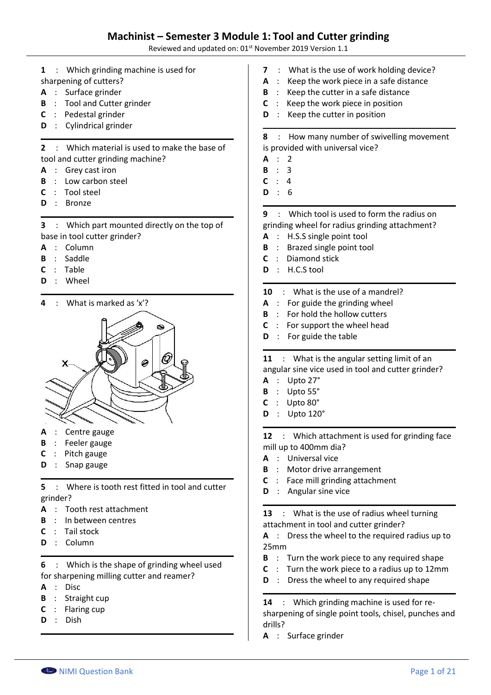Reviewed and updated on: 01<sup>st</sup> November 2019 Version 1.1

- **1** : Which grinding machine is used for
- sharpening of cutters?
- **A** : Surface grinder
- **B** : Tool and Cutter grinder
- **C** : Pedestal grinder
- **D** : Cylindrical grinder

**2** : Which material is used to make the base of tool and cutter grinding machine?

- **A** : Grey cast iron
- **B** : Low carbon steel
- **C** : Tool steel
- **D** : Bronze

**3** : Which part mounted directly on the top of base in tool cutter grinder?

- **A** : Column
- **B** : Saddle
- **C** : Table
- **D** : Wheel

**4** : What is marked as 'x'?



- **A** : Centre gauge
- **B** : Feeler gauge
- **C** : Pitch gauge
- **D** : Snap gauge

**5** : Where is tooth rest fitted in tool and cutter grinder?

- **A** : Tooth rest attachment
- **B** : In between centres
- **C** : Tail stock
- **D** : Column

**6** : Which is the shape of grinding wheel used for sharpening milling cutter and reamer?

- **A** : Disc
- **B** : Straight cup
- **C** : Flaring cup
- **D** : Dish
- **7** : What is the use of work holding device?
- **A** : Keep the work piece in a safe distance
- **B** : Keep the cutter in a safe distance
- **C** : Keep the work piece in position
- **D** : Keep the cutter in position

**8** : How many number of swivelling movement is provided with universal vice?

- **A** : 2
- **B** : 3
- **C** : 4
- **D** : 6

**9** : Which tool is used to form the radius on grinding wheel for radius grinding attachment?

- **A** : H.S.S single point tool
- **B** : Brazed single point tool
- **C** : Diamond stick
- **D** : H.C.S tool

### **10** : What is the use of a mandrel?

- **A** : For guide the grinding wheel
- **B** : For hold the hollow cutters
- **C** : For support the wheel head
- **D** : For guide the table

**11** : What is the angular setting limit of an angular sine vice used in tool and cutter grinder?

- **A** : Upto 27°
- **B** : Upto 55°
- **C** : Upto 80°
- **D** : Upto 120°

**12** : Which attachment is used for grinding face mill up to 400mm dia?

- **A** : Universal vice
- **B** : Motor drive arrangement
- **C** : Face mill grinding attachment
- **D** : Angular sine vice

**13** : What is the use of radius wheel turning attachment in tool and cutter grinder?

**A** : Dress the wheel to the required radius up to 25mm

- **B** : Turn the work piece to any required shape
- **C** : Turn the work piece to a radius up to 12mm
- **D** : Dress the wheel to any required shape

**14** : Which grinding machine is used for resharpening of single point tools, chisel, punches and drills?

**A** : Surface grinder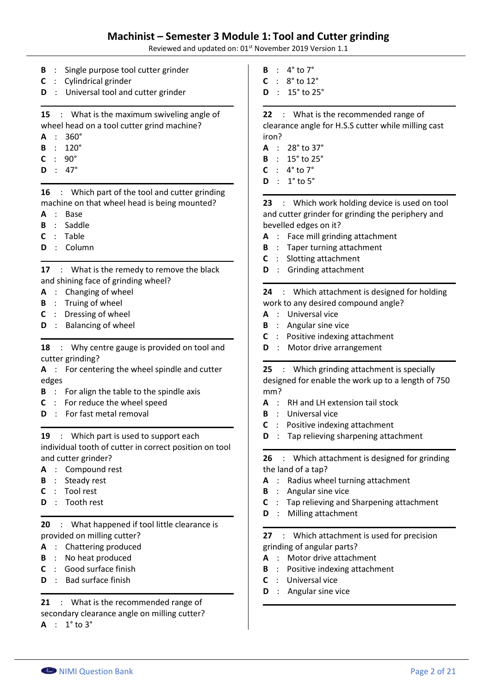### **Machinist – Semester 3 Module 1: Tool and Cutter grinding**

Reviewed and updated on: 01<sup>st</sup> November 2019 Version 1.1

- **B** : Single purpose tool cutter grinder
- **C** : Cylindrical grinder
- **D** : Universal tool and cutter grinder

**15** : What is the maximum swiveling angle of wheel head on a tool cutter grind machine?

- **A** : 360°
- **B** : 120°
- **C** : 90°
- **D** : 47°

**16** : Which part of the tool and cutter grinding machine on that wheel head is being mounted?

- **A** : Base
- **B** : Saddle
- **C** : Table
- **D** : Column

**17** : What is the remedy to remove the black and shining face of grinding wheel?

- **A** : Changing of wheel
- **B** : Truing of wheel
- **C** : Dressing of wheel
- **D** : Balancing of wheel

**18** : Why centre gauge is provided on tool and cutter grinding?

**A** : For centering the wheel spindle and cutter edges

- **B** : For align the table to the spindle axis
- **C** : For reduce the wheel speed
- **D** : For fast metal removal

**19** : Which part is used to support each individual tooth of cutter in correct position on tool and cutter grinder?

- **A** : Compound rest
- **B** : Steady rest
- **C** : Tool rest
- **D** : Tooth rest

**20** : What happened if tool little clearance is provided on milling cutter?

- **A** : Chattering produced
- **B** : No heat produced
- **C** : Good surface finish
- **D** : Bad surface finish

**21** : What is the recommended range of secondary clearance angle on milling cutter?

 $A : 1<sup>°</sup>$  to 3<sup>°</sup>

- $B : 4^\circ \text{ to } 7^\circ$
- $C : 8^{\circ}$  to 12°
- **D** : 15° to 25°

**22** : What is the recommended range of clearance angle for H.S.S cutter while milling cast iron?

- **A** : 28° to 37°
- **B** : 15° to 25°
- $C \cdot 4^\circ$  to  $7^\circ$
- $D : 1<sup>°</sup>$  to 5<sup>°</sup>

**23** : Which work holding device is used on tool and cutter grinder for grinding the periphery and bevelled edges on it?

- **A** : Face mill grinding attachment
- **B** : Taper turning attachment
- **C** : Slotting attachment
- **D** : Grinding attachment

**24** : Which attachment is designed for holding work to any desired compound angle?

- **A** : Universal vice
- **B** : Angular sine vice
- **C** : Positive indexing attachment
- **D** : Motor drive arrangement

**25** : Which grinding attachment is specially designed for enable the work up to a length of 750 mm?

- **A** : RH and LH extension tail stock
- **B** : Universal vice
- **C** : Positive indexing attachment
- **D** : Tap relieving sharpening attachment

**26** : Which attachment is designed for grinding the land of a tap?

- **A** : Radius wheel turning attachment
- **B** : Angular sine vice
- **C** : Tap relieving and Sharpening attachment
- **D** : Milling attachment

**27** : Which attachment is used for precision grinding of angular parts?

- **A** : Motor drive attachment
- **B** : Positive indexing attachment
- **C** : Universal vice
- **D** : Angular sine vice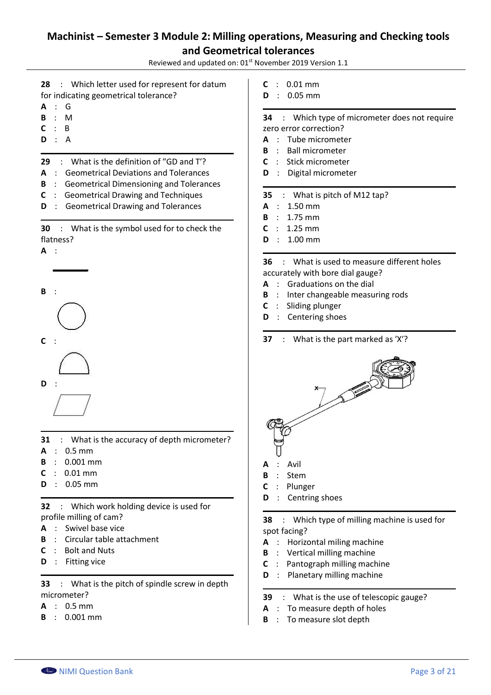Reviewed and updated on: 01<sup>st</sup> November 2019 Version 1.1

- **28** : Which letter used for represent for datum for indicating geometrical tolerance?
- **A** : G
- **B** : M
- **C** : B
- **D** : A
- **29** : What is the definition of "GD and T'?
- **A** : Geometrical Deviations and Tolerances
- **B** : Geometrical Dimensioning and Tolerances
- **C** : Geometrical Drawing and Techniques
- **D** : Geometrical Drawing and Tolerances
- **30** : What is the symbol used for to check the flatness?





- **31** : What is the accuracy of depth micrometer?
- **A** : 0.5 mm
- **B** : 0.001 mm
- **C** : 0.01 mm
- **D** : 0.05 mm

**32** : Which work holding device is used for profile milling of cam?

- **A** : Swivel base vice
- **B** : Circular table attachment
- **C** : Bolt and Nuts
- **D** : Fitting vice

**33** : What is the pitch of spindle screw in depth micrometer?

- **A** : 0.5 mm
- **B** : 0.001 mm
- **C** : 0.01 mm
- **D** : 0.05 mm

#### **34** : Which type of micrometer does not require zero error correction?

- **A** : Tube micrometer
- **B** : Ball micrometer
- **C** : Stick micrometer
- **D** : Digital micrometer

#### **35** : What is pitch of M12 tap?

- **A** : 1.50 mm
- **B** : 1.75 mm
- **C** : 1.25 mm
- **D** : 1.00 mm

### **36** : What is used to measure different holes accurately with bore dial gauge?

- **A** : Graduations on the dial
- **B** : Inter changeable measuring rods
- **C** : Sliding plunger
- **D** : Centering shoes
- **37** : What is the part marked as 'X'?



- 
- **C** : Plunger
- **D** : Centring shoes

**38** : Which type of milling machine is used for spot facing?

- **A** : Horizontal miling machine
- **B** : Vertical milling machine
- **C** : Pantograph milling machine
- **D** : Planetary milling machine
- **39** : What is the use of telescopic gauge?
- **A** : To measure depth of holes
- **B** : To measure slot depth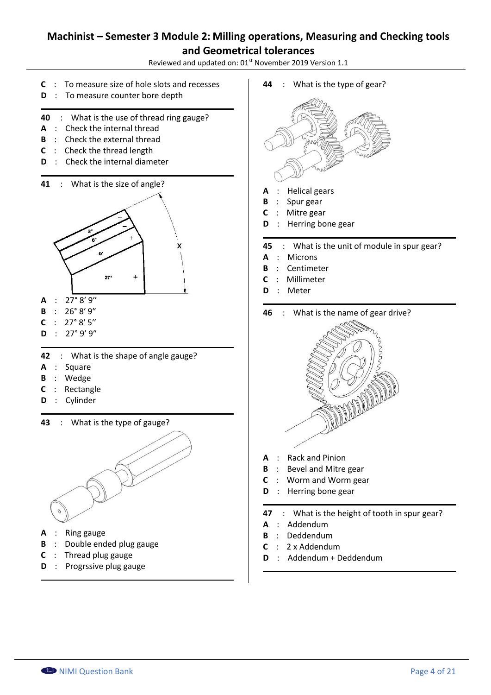Reviewed and updated on: 01st November 2019 Version 1.1

- **C** : To measure size of hole slots and recesses
- **D** : To measure counter bore depth
- **40** : What is the use of thread ring gauge?
- **A** : Check the internal thread
- **B** : Check the external thread
- **C** : Check the thread length
- **D** : Check the internal diameter





- $A : 27°8'9''$
- **B** :  $26°8'9''$
- $C : 27°8'5''$
- $D : 27°9'9''$
- **42** : What is the shape of angle gauge?
- **A** : Square
- **B** : Wedge
- **C** : Rectangle
- **D** : Cylinder
- **43** : What is the type of gauge?



- **A** : Ring gauge
- **B** : Double ended plug gauge
- **C** : Thread plug gauge
- **D** : Progrssive plug gauge

**44** : What is the type of gear?



- **B** : Spur gear
- **C** : Mitre gear
- **D** : Herring bone gear
- **45** : What is the unit of module in spur gear?
- **A** : Microns
- **B** : Centimeter
- **C** : Millimeter
- **D** : Meter





- **A** : Rack and Pinion
- **B** : Bevel and Mitre gear
- **C** : Worm and Worm gear
- **D** : Herring bone gear
- **47** : What is the height of tooth in spur gear?
- **A** : Addendum
- **B** : Deddendum
- **C** : 2 x Addendum
- **D** : Addendum + Deddendum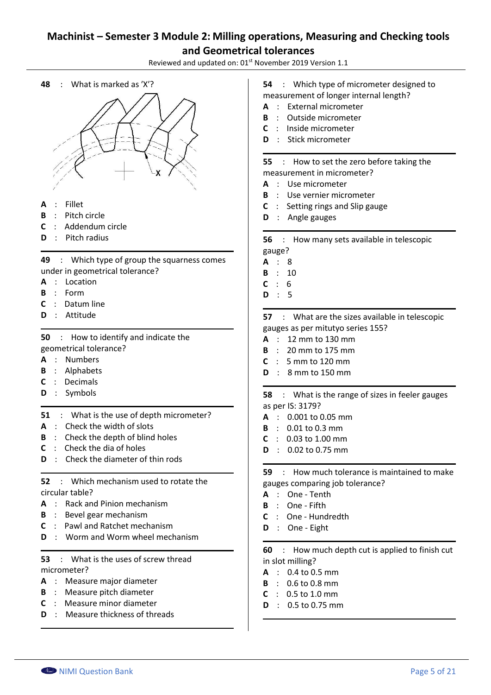Reviewed and updated on: 01<sup>st</sup> November 2019 Version 1.1





- **A** : Fillet
- **B** : Pitch circle
- **C** : Addendum circle
- **D** : Pitch radius

**49** : Which type of group the squarness comes under in geometrical tolerance?

- **A** : Location
- **B** : Form
- **C** : Datum line
- **D** : Attitude

**50** : How to identify and indicate the geometrical tolerance?

- **A** : Numbers
- **B** : Alphabets
- **C** : Decimals
- **D** : Symbols
- **51** : What is the use of depth micrometer?
- **A** : Check the width of slots
- **B** : Check the depth of blind holes
- **C** : Check the dia of holes
- **D** : Check the diameter of thin rods
- **52** : Which mechanism used to rotate the circular table?
- **A** : Rack and Pinion mechanism
- **B** : Bevel gear mechanism
- **C** : Pawl and Ratchet mechanism
- **D** : Worm and Worm wheel mechanism

### **53** : What is the uses of screw thread micrometer?

- **A** : Measure major diameter
- **B** : Measure pitch diameter
- **C** : Measure minor diameter
- **D** : Measure thickness of threads

**54** : Which type of micrometer designed to measurement of longer internal length?

- **A** : External micrometer
- **B** : Outside micrometer
- **C** : Inside micrometer
- **D** : Stick micrometer

#### **55** : How to set the zero before taking the measurement in micrometer?

- **A** : Use micrometer
- 
- **B** : Use vernier micrometer
- **C** : Setting rings and Slip gauge
- **D** : Angle gauges

**56** : How many sets available in telescopic gauge?

- **A** : 8
- **B** : 10
- **C** : 6
- **D** : 5

**57** : What are the sizes available in telescopic gauges as per mitutyo series 155?

- **A** : 12 mm to 130 mm
- **B** : 20 mm to 175 mm
- **C** : 5 mm to 120 mm
- **D** : 8 mm to 150 mm

**58** : What is the range of sizes in feeler gauges as per IS: 3179?

- **A** : 0.001 to 0.05 mm
- **B** : 0.01 to 0.3 mm
- **C** : 0.03 to 1.00 mm
- **D** : 0.02 to 0.75 mm

**59** : How much tolerance is maintained to make gauges comparing job tolerance?

- **A** : One Tenth
- **B** : One Fifth
- **C** : One Hundredth
- **D** : One Eight

**60** : How much depth cut is applied to finish cut in slot milling?

- **A** : 0.4 to 0.5 mm
- **B** : 0.6 to 0.8 mm
- **C** : 0.5 to 1.0 mm
- **D** : 0.5 to 0.75 mm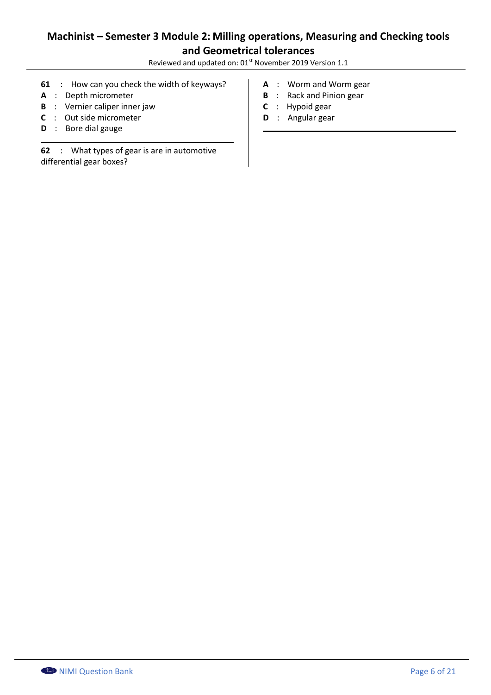Reviewed and updated on: 01<sup>st</sup> November 2019 Version 1.1

- **61** : How can you check the width of keyways?
- **A** : Depth micrometer
- **B** : Vernier caliper inner jaw
- **C** : Out side micrometer
- **D** : Bore dial gauge

**62** : What types of gear is are in automotive differential gear boxes?

- **A** : Worm and Worm gear
- **B** : Rack and Pinion gear
- **C** : Hypoid gear
- **D** : Angular gear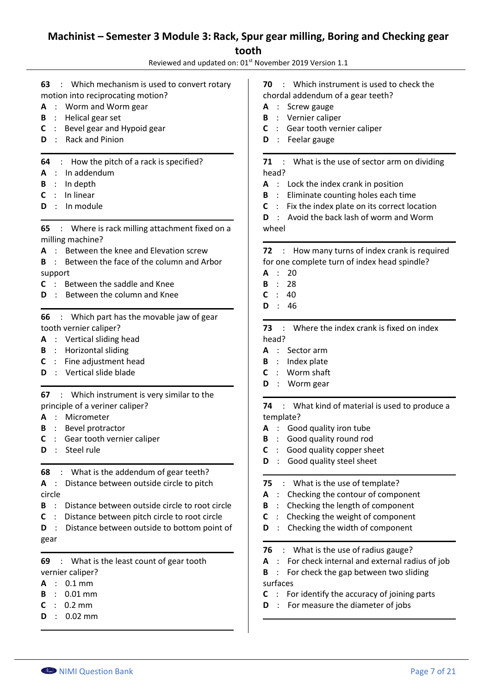## **Machinist – Semester 3 Module 3: Rack, Spur gear milling, Boring and Checking gear tooth**

Reviewed and updated on: 01<sup>st</sup> November 2019 Version 1.1

- **63** : Which mechanism is used to convert rotary motion into reciprocating motion?
- **A** : Worm and Worm gear
- **B** : Helical gear set
- **C** : Bevel gear and Hypoid gear
- **D** : Rack and Pinion
- **64** : How the pitch of a rack is specified?
- **A** : In addendum
- **B** : In depth
- **C** : In linear
- **D** : In module

**65** : Where is rack milling attachment fixed on a milling machine?

- **A** : Between the knee and Elevation screw
- **B** : Between the face of the column and Arbor support
- **C** : Between the saddle and Knee
- **D** : Between the column and Knee

**66** : Which part has the movable jaw of gear tooth vernier caliper?

- **A** : Vertical sliding head
- **B** : Horizontal sliding
- **C** : Fine adjustment head
- **D** : Vertical slide blade

**67** : Which instrument is very similar to the principle of a veriner caliper?

- **A** : Micrometer
- **B** : Bevel protractor
- **C** : Gear tooth vernier caliper
- **D** : Steel rule

**68** : What is the addendum of gear teeth?

**A** : Distance between outside circle to pitch circle

- **B** : Distance between outside circle to root circle
- **C** : Distance between pitch circle to root circle

**D** : Distance between outside to bottom point of gear

**69** : What is the least count of gear tooth vernier caliper?

- **A** : 0.1 mm
- **B** : 0.01 mm
- **C** : 0.2 mm
- **D** : 0.02 mm
- **70** : Which instrument is used to check the chordal addendum of a gear teeth?
- **A** : Screw gauge
- **B** : Vernier caliper
- **C** : Gear tooth vernier caliper
- **D** : Feelar gauge

**71** : What is the use of sector arm on dividing head?

- **A** : Lock the index crank in position
- **B** : Eliminate counting holes each time
- **C** : Fix the index plate on its correct location **D** : Avoid the back lash of worm and Worm wheel

### **72** : How many turns of index crank is required for one complete turn of index head spindle?

- **A** : 20
- **B** : 28
- **C** : 40
- **D** : 46

**73** : Where the index crank is fixed on index head?

- **A** : Sector arm
- **B** : Index plate
- **C** : Worm shaft
- **D** : Worm gear

**74** : What kind of material is used to produce a template?

- **A** : Good quality iron tube
- **B** : Good quality round rod
- **C** : Good quality copper sheet
- **D** : Good quality steel sheet
- **75** : What is the use of template?
- **A** : Checking the contour of component
- **B** : Checking the length of component
- **C** : Checking the weight of component
- **D** : Checking the width of component
- **76** : What is the use of radius gauge?
- **A** : For check internal and external radius of job
- **B** : For check the gap between two sliding surfaces
- **C** : For identify the accuracy of joining parts
- **D** : For measure the diameter of jobs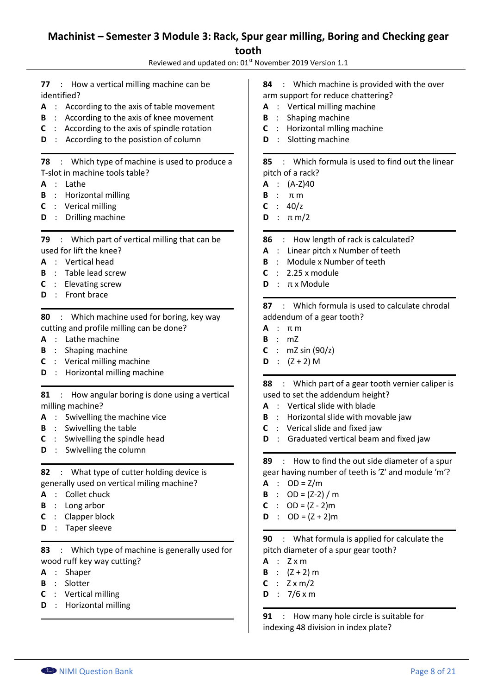# **Machinist – Semester 3 Module 3: Rack, Spur gear milling, Boring and Checking gear tooth**

Reviewed and updated on: 01<sup>st</sup> November 2019 Version 1.1

**77** : How a vertical milling machine can be identified?

- **A** : According to the axis of table movement
- **B** : According to the axis of knee movement
- **C** : According to the axis of spindle rotation
- **D** : According to the posistion of column

#### **78** : Which type of machine is used to produce a T-slot in machine tools table?

- **A** : Lathe
- **B** : Horizontal milling
- **C** : Verical milling
- **D** : Drilling machine

**79** : Which part of vertical milling that can be used for lift the knee?

- **A** : Vertical head
- **B** : Table lead screw
- **C** : Elevating screw
- **D** : Front brace

**80** : Which machine used for boring, key way cutting and profile milling can be done?

- **A** : Lathe machine
- **B** : Shaping machine
- **C** : Verical milling machine
- **D** : Horizontal milling machine

**81** : How angular boring is done using a vertical milling machine?

- **A** : Swivelling the machine vice
- **B** : Swivelling the table
- **C** : Swivelling the spindle head
- **D** : Swivelling the column

**82** : What type of cutter holding device is generally used on vertical miling machine?

- **A** : Collet chuck
- **B** : Long arbor
- **C** : Clapper block
- **D** : Taper sleeve

**83** : Which type of machine is generally used for wood ruff key way cutting?

- **A** : Shaper
- **B** : Slotter
- **C** : Vertical milling
- **D** : Horizontal milling

**84** : Which machine is provided with the over arm support for reduce chattering?

- **A** : Vertical milling machine
- **B** : Shaping machine
- **C** : Horizontal mlling machine
- **D** : Slotting machine

**85** : Which formula is used to find out the linear pitch of a rack?

- **A** : (A-Z)40
- **B** : π m
- $C : 40/z$
- **D** : π m/2

**86** : How length of rack is calculated?

- **A** : Linear pitch x Number of teeth
- **B** : Module x Number of teeth
- **C** : 2.25 x module
- **D** : π x Module

**87** : Which formula is used to calculate chrodal addendum of a gear tooth?

- **A** : π m
- **B** : mZ
- **C** :  $mZ \sin (90/z)$
- $D : (Z + 2) M$

**88** : Which part of a gear tooth vernier caliper is used to set the addendum height?

- **A** : Vertical slide with blade
- **B** : Horizontal slide with movable jaw
- **C** : Verical slide and fixed jaw
- **D** : Graduated vertical beam and fixed jaw

**89** : How to find the out side diameter of a spur gear having number of teeth is ʹZʹ and module ʹmʹ?

- $A : OD = Z/m$
- **B** :  $OD = (Z-2)/m$
- **C** :  $OD = (Z 2)m$
- **D** :  $OD = (Z + 2)m$

**90** : What formula is applied for calculate the pitch diameter of a spur gear tooth?

- **A** : Z x m
- **B** :  $(Z + 2)$  m
- $C : Z \times m/2$
- **D** : 7/6 x m

**91** : How many hole circle is suitable for indexing 48 division in index plate?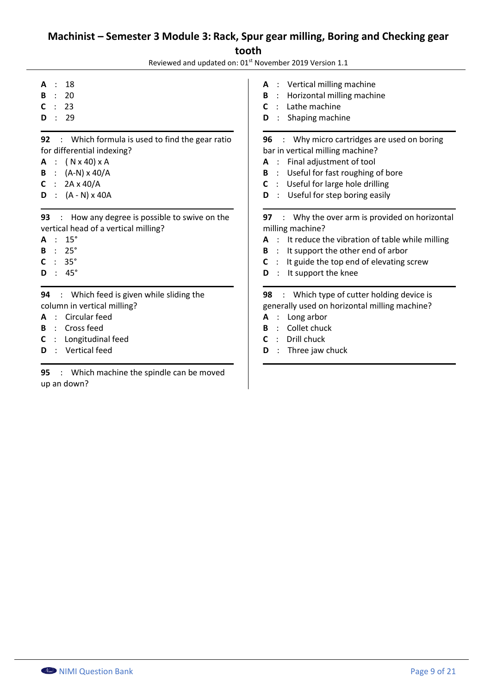## **Machinist – Semester 3 Module 3: Rack, Spur gear milling, Boring and Checking gear tooth**

Reviewed and updated on: 01<sup>st</sup> November 2019 Version 1.1

- **A** : 18
- **B** : 20
- **C** : 23
- **D** : 29

**92** : Which formula is used to find the gear ratio for differential indexing?

- **A** : ( N x 40) x A
- **B** : (A-N) x 40/A
- **C** : 2A x 40/A
- **D** : (A N) x 40A

**93** : How any degree is possible to swive on the vertical head of a vertical milling?

- **A** : 15°
- **B** : 25°
- **C** : 35°
- **D** : 45°

**94** : Which feed is given while sliding the column in vertical milling?

- **A** : Circular feed
- **B** : Cross feed
- **C** : Longitudinal feed
- **D** : Vertical feed

**95** : Which machine the spindle can be moved up an down?

**A** : Vertical milling machine

- **B** : Horizontal milling machine
- **C** : Lathe machine
- **D** : Shaping machine

**96** : Why micro cartridges are used on boring bar in vertical milling machine?

- **A** : Final adjustment of tool
- **B** : Useful for fast roughing of bore
- **C** : Useful for large hole drilling
- **D** : Useful for step boring easily

**97** : Why the over arm is provided on horizontal milling machine?

- **A** : It reduce the vibration of table while milling
- **B** : It support the other end of arbor
- **C** : It guide the top end of elevating screw
- **D** : It support the knee

**98** : Which type of cutter holding device is generally used on horizontal milling machine?

- **A** : Long arbor
- **B** : Collet chuck
- **C** : Drill chuck
- **D** : Three jaw chuck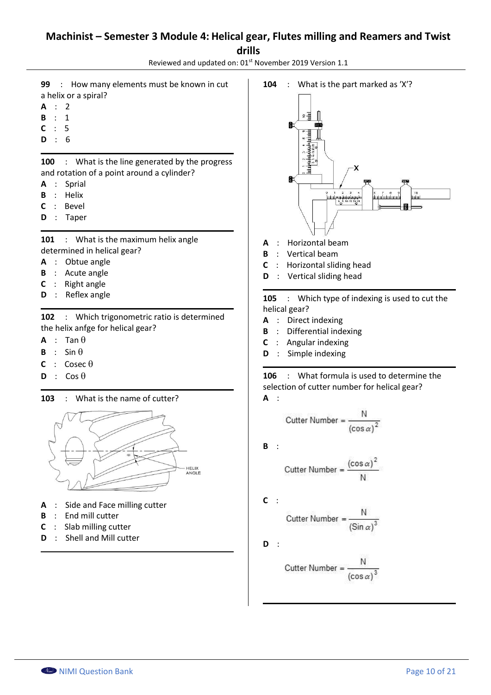### **Machinist – Semester 3 Module 4: Helical gear, Flutes milling and Reamers and Twist drills**

Reviewed and updated on: 01<sup>st</sup> November 2019 Version 1.1

- **99** : How many elements must be known in cut a helix or a spiral?
- **A** : 2
- **B** : 1
- **C** : 5
- **D** : 6

**100** : What is the line generated by the progress and rotation of a point around a cylinder?

- **A** : Sprial
- **B** : Helix
- **C** : Bevel
- **D** : Taper

101 : What is the maximum helix angle determined in helical gear?

- **A** : Obtue angle
- **B** : Acute angle
- **C** : Right angle
- **D** : Reflex angle

**102** : Which trigonometric ratio is determined the helix anfge for helical gear?

- $A : Tan \theta$
- **B** : Sin  $\theta$
- $C : \text{Cosec } \theta$
- $D : \text{Cos } \theta$

**103** : What is the name of cutter?



- **A** : Side and Face milling cutter
- **B** : End mill cutter
- **C** : Slab milling cutter
- **D** : Shell and Mill cutter



- **A** : Horizontal beam
- **B** : Vertical beam
- **C** : Horizontal sliding head
- **D** : Vertical sliding head

**105** : Which type of indexing is used to cut the helical gear?

- **A** : Direct indexing
- **B** : Differential indexing
- **C** : Angular indexing
- **D** : Simple indexing

**106** : What formula is used to determine the selection of cutter number for helical gear? **A** :

$$
Cutter Number = \frac{N}{(\cos \alpha)^2}
$$

**B** :

$$
Cutter Number = \frac{(\cos \alpha)^2}{N}
$$

**C** :

$$
Cutter Number = \frac{N}{(Sin \alpha)^3}
$$

**D** :

Cutter Number =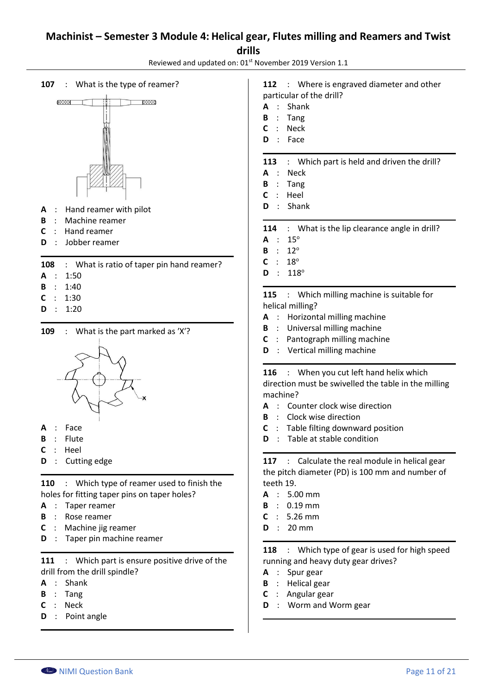### **Machinist – Semester 3 Module 4: Helical gear, Flutes milling and Reamers and Twist drills**

Reviewed and updated on: 01<sup>st</sup> November 2019 Version 1.1

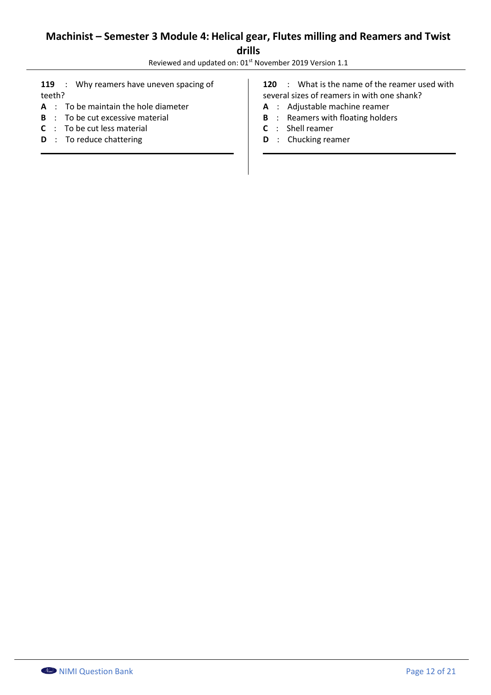# **Machinist – Semester 3 Module 4: Helical gear, Flutes milling and Reamers and Twist drills**

Reviewed and updated on: 01<sup>st</sup> November 2019 Version 1.1

119 : Why reamers have uneven spacing of teeth?

- **A** : To be maintain the hole diameter
- **B** : To be cut excessive material
- **C** : To be cut less material
- **D** : To reduce chattering

**120** : What is the name of the reamer used with several sizes of reamers in with one shank?

- **A** : Adjustable machine reamer
- **B** : Reamers with floating holders
- **C** : Shell reamer
- **D** : Chucking reamer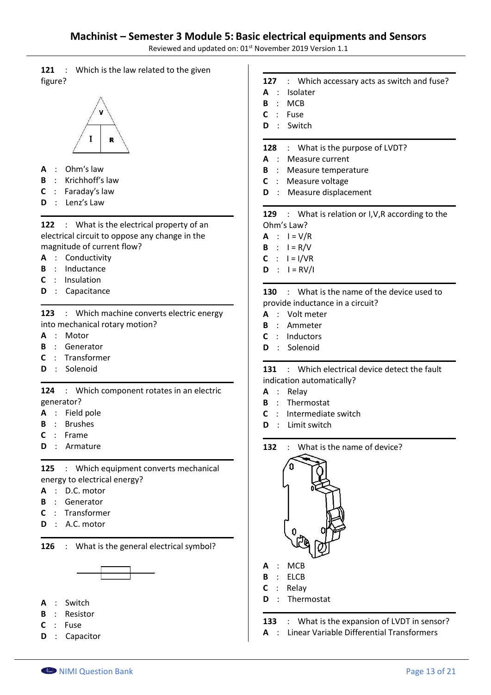Reviewed and updated on: 01<sup>st</sup> November 2019 Version 1.1

**121** : Which is the law related to the given figure?



- **A** : Ohmʹs law
- **B** : Krichhoff's law
- **C** : Faradayʹs law
- **D** : Lenzʹs Law

**122** : What is the electrical property of an electrical circuit to oppose any change in the magnitude of current flow?

- **A** : Conductivity
- **B** : Inductance
- **C** : Insulation
- **D** : Capacitance

**123** : Which machine converts electric energy into mechanical rotary motion?

- **A** : Motor
- **B** : Generator
- **C** : Transformer
- **D** : Solenoid

**124** : Which component rotates in an electric generator?

- **A** : Field pole
- **B** : Brushes
- **C** : Frame
- **D** : Armature

**125** : Which equipment converts mechanical energy to electrical energy?

- **A** : D.C. motor
- **B** : Generator
- **C** : Transformer
- **D** : A.C. motor

**126** : What is the general electrical symbol?



- **A** : Switch
- **B** : Resistor
- **C** : Fuse
- **D** : Capacitor

|            |  | 127 : Which accessary acts as switch and fuse?     |  |
|------------|--|----------------------------------------------------|--|
| A          |  | : Isolater                                         |  |
|            |  | B : MCB                                            |  |
|            |  | $C :$ Fuse                                         |  |
|            |  | D : Switch                                         |  |
|            |  | 128 : What is the purpose of LVDT?                 |  |
|            |  | <b>A</b> : Measure current                         |  |
|            |  | <b>B</b> : Measure temperature                     |  |
|            |  | <b>C</b> : Measure voltage                         |  |
|            |  | <b>D</b> : Measure displacement                    |  |
|            |  | 129 : What is relation or I, V, R according to the |  |
| Ohm's Law? |  |                                                    |  |
|            |  | $A : I = V/R$                                      |  |
|            |  | <b>B</b> : $I = R/V$                               |  |
|            |  | $C : I = I/VR$                                     |  |

 $D : I = RV/I$ 

**130** : What is the name of the device used to provide inductance in a circuit?

- **A** : Volt meter
- **B** : Ammeter
- **C** : Inductors
- **D** : Solenoid

**131** : Which electrical device detect the fault indication automatically?

- **A** : Relay
- **B** : Thermostat
- **C** : Intermediate switch
- **D** : Limit switch
- **132** : What is the name of device?



- **A** : MCB
- **B** : ELCB
- **C** : Relay
- **D** : Thermostat

**133** : What is the expansion of LVDT in sensor?

**A** : Linear Variable Differential Transformers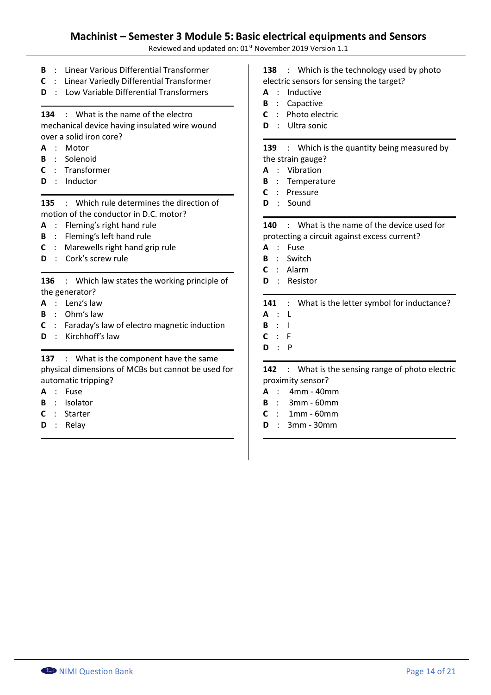Reviewed and updated on: 01<sup>st</sup> November 2019 Version 1.1

- **B** : Linear Various Differential Transformer
- **C** : Linear Variedly Differential Transformer
- **D** : Low Variable Differential Transformers

### **134** : What is the name of the electro

mechanical device having insulated wire wound over a solid iron core?

- **A** : Motor
- **B** : Solenoid
- **C** : Transformer
- **D** : Inductor

**135** : Which rule determines the direction of motion of the conductor in D.C. motor?

- **A** : Flemingʹs right hand rule
- **B** : Fleming's left hand rule
- **C** : Marewells right hand grip rule
- **D** : Cork's screw rule

**136** : Which law states the working principle of the generator?

- **A** : Lenzʹs law
- **B** : Ohmʹs law
- **C** : Faradayʹs law of electro magnetic induction
- **D** : Kirchhoff's law

**137** : What is the component have the same physical dimensions of MCBs but cannot be used for automatic tripping?

- **A** : Fuse
- **B** : Isolator
- **C** : Starter
- **D** : Relay

**138** : Which is the technology used by photo electric sensors for sensing the target?

- **A** : Inductive
- **B** : Capactive
- **C** : Photo electric
- **D** : Ultra sonic

**139** : Which is the quantity being measured by the strain gauge?

- **A** : Vibration
- **B** : Temperature
- **C** : Pressure
- **D** : Sound

**140** : What is the name of the device used for protecting a circuit against excess current?

- **A** : Fuse
- **B** : Switch
- **C** : Alarm
- **D** : Resistor

#### **141** : What is the letter symbol for inductance?

- **A** : L
- **B** : I
- **C** : F
- **D** : P

**142** : What is the sensing range of photo electric proximity sensor?

- **A** : 4mm 40mm
- **B** : 3mm 60mm
- **C** : 1mm 60mm
- **D** : 3mm 30mm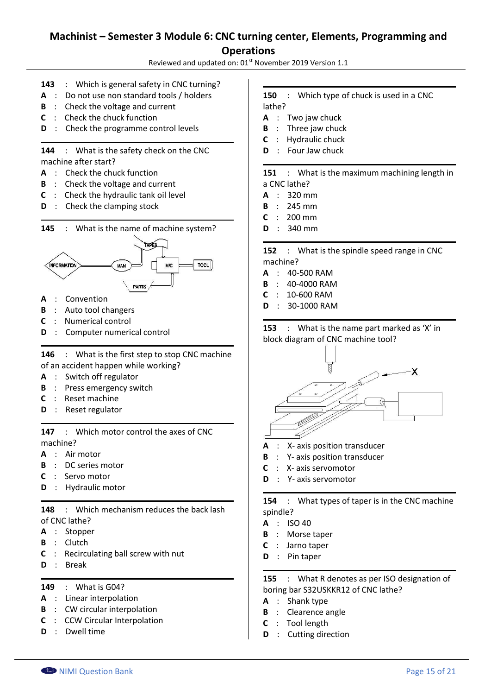Reviewed and updated on: 01<sup>st</sup> November 2019 Version 1.1

- **143** : Which is general safety in CNC turning?
- **A** : Do not use non standard tools / holders
- **B** : Check the voltage and current
- **C** : Check the chuck function
- **D** : Check the programme control levels

**144** : What is the safety check on the CNC machine after start?

- **A** : Check the chuck function
- **B** : Check the voltage and current
- **C** : Check the hydraulic tank oil level
- **D** : Check the clamping stock





- **A** : Convention
- **B** : Auto tool changers
- **C** : Numerical control
- **D** : Computer numerical control

**146** : What is the first step to stop CNC machine of an accident happen while working?

- **A** : Switch off regulator
- **B** : Press emergency switch
- **C** : Reset machine
- **D** : Reset regulator

**147** : Which motor control the axes of CNC machine?

- **A** : Air motor
- **B** : DC series motor
- **C** : Servo motor
- **D** : Hydraulic motor

**148** : Which mechanism reduces the back lash of CNC lathe?

- **A** : Stopper
- **B** : Clutch
- **C** : Recirculating ball screw with nut
- **D** : Break

**149** : What is G04?

- **A** : Linear interpolation
- **B** : CW circular interpolation
- **C** : CCW Circular Interpolation
- **D** : Dwell time

#### **150** : Which type of chuck is used in a CNC lathe?

- **A** : Two jaw chuck
- **B** : Three jaw chuck
- **C** : Hydraulic chuck
- **D** : Four Jaw chuck

**151** : What is the maximum machining length in a CNC lathe?

- **A** : 320 mm
- **B** : 245 mm
- **C** : 200 mm
- **D** : 340 mm

**152** : What is the spindle speed range in CNC machine?

- **A** : 40-500 RAM
- **B** : 40-4000 RAM
- **C** : 10-600 RAM
- **D** : 30-1000 RAM

**153** : What is the name part marked as 'X' in block diagram of CNC machine tool?



- **A** : X- axis position transducer
- **B** : Y- axis position transducer
- **C** : X- axis servomotor
- **D** : Y- axis servomotor

**154** : What types of taper is in the CNC machine spindle?

- **A** : ISO 40
- **B** : Morse taper
- **C** : Jarno taper
- **D** : Pin taper

**155** : What R denotes as per ISO designation of boring bar S32USKKR12 of CNC lathe?

- **A** : Shank type
- **B** : Clearence angle
- **C** : Tool length
- **D** : Cutting direction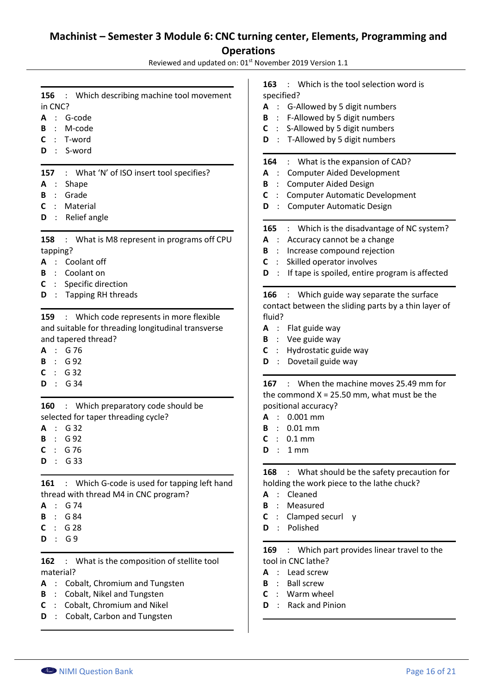Reviewed and updated on: 01st November 2019 Version 1.1  $\overline{1}$ 

| : Which describing machine tool movement<br>156<br>in CNC?<br>G-code<br>A<br>M-code<br>в<br>T-word<br>$\ddot{\phantom{a}}$<br>S-word<br>D                                                                      | : Which is the tool selection word is<br>163<br>specified?<br>A : G-Allowed by 5 digit numbers<br>: F-Allowed by 5 digit numbers<br>В<br>: S-Allowed by 5 digit numbers<br>C<br>: T-Allowed by 5 digit numbers<br>D                                                                  |
|----------------------------------------------------------------------------------------------------------------------------------------------------------------------------------------------------------------|--------------------------------------------------------------------------------------------------------------------------------------------------------------------------------------------------------------------------------------------------------------------------------------|
| : What 'N' of ISO insert tool specifies?<br>157<br>Shape<br>A<br>Grade<br>В<br>Material<br>C<br>Relief angle<br>D                                                                                              | : What is the expansion of CAD?<br>164<br><b>Computer Aided Development</b><br>A<br><b>Computer Aided Design</b><br>В<br>$\sim$<br><b>Computer Automatic Development</b><br>C<br><b>Computer Automatic Design</b><br>D<br>$\ddot{\cdot}$                                             |
| : What is M8 represent in programs off CPU<br>158<br>tapping?<br>Coolant off<br>Coolant on<br>В<br>Specific direction<br>C                                                                                     | 165 : Which is the disadvantage of NC system?<br>Accuracy cannot be a change<br>A :<br>Increase compound rejection<br>B<br>$\ddot{\phantom{1}}$<br>Skilled operator involves<br>C<br>If tape is spoiled, entire program is affected<br>D<br>$\mathcal{L}$                            |
| : Which code represents in more flexible<br>159<br>and suitable for threading longitudinal transverse<br>and tapered thread?<br>G 76<br>G 92<br>$\therefore$ G 32<br>G 34<br>$\mathcal{L}$<br>D                | contact between the sliding parts by a thin layer of<br>fluid?<br>Flat guide way<br>A :<br>Vee guide way<br>B<br>$\ddot{\phantom{a}}$<br>Hydrostatic guide way<br>$\mathcal{L}$<br>C<br>Dovetail guide way<br>D<br>$\ddot{\phantom{1}}$<br>167 : When the machine moves 25.49 mm for |
| : Which preparatory code should be<br>160<br>selected for taper threading cycle?<br>G 32<br>G 92<br>В<br>C : G76<br>: G 33<br>D                                                                                | the commond $X = 25.50$ mm, what must be the<br>positional accuracy?<br>$0.001$ mm<br>А<br>$0.01$ mm<br>В<br>$0.1$ mm<br>C<br>D.<br>1 mm                                                                                                                                             |
| : Which G-code is used for tapping left hand<br>161<br>thread with thread M4 in CNC program?<br>G 74<br>$\sim$<br>$\therefore$ G 84<br>В<br>G 28<br>С<br>G 9<br>$\sim$ 100 $\sim$<br>D                         | <b>168</b> : What should be the safety precaution for<br>holding the work piece to the lathe chuck?<br>Cleaned<br>А<br>Measured<br>$\cdot$ :<br>В<br>: Clamped securl y<br>C<br>Polished<br>$\cdot$ .<br>D                                                                           |
| : What is the composition of stellite tool<br>162<br>material?<br>Cobalt, Chromium and Tungsten<br>A<br>Cobalt, Nikel and Tungsten<br>B<br>Cobalt, Chromium and Nikel<br>C<br>Cobalt, Carbon and Tungsten<br>D | 169 : Which part provides linear travel to the<br>tool in CNC lathe?<br>Lead screw<br><b>Ball screw</b><br>$\cdot$ :<br>В<br>Warm wheel<br>C<br>Rack and Pinion<br>D                                                                                                                 |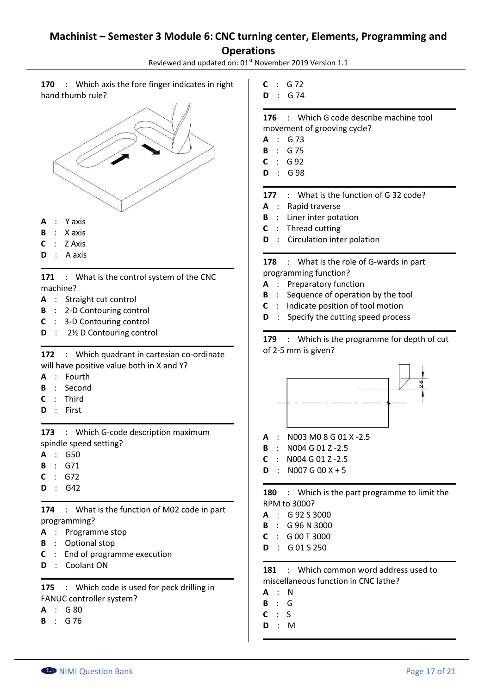Reviewed and updated on: 01<sup>st</sup> November 2019 Version 1.1

**170** : Which axis the fore finger indicates in right hand thumb rule?



- **A** : Y axis
- **B** : X axis
- **C** : Z Axis
- **D** : A axis

171 : What is the control system of the CNC machine?

- **A** : Straight cut control
- **B** : 2-D Contouring control
- **C** : 3-D Contouring control
- **D** : 2½ D Contouring control

**172** : Which quadrant in cartesian co-ordinate will have positive value both in X and Y?

- **A** : Fourth
- **B** : Second
- **C** : Third
- **D** : First

**173** : Which G-code description maximum spindle speed setting?

- **A** : G50
- **B** : G71
- **C** : G72
- **D** : G42

**174** : What is the function of M02 code in part programming?

- **A** : Programme stop
- **B** : Optional stop
- **C** : End of programme execution
- **D** : Coolant ON

**175** : Which code is used for peck drilling in FANUC controller system?

- **A** : G 80
- **B** : G 76
- **C** : G 72
- **D** : G 74

**176** : Which G code describe machine tool movement of grooving cycle?

- **A** : G 73
- **B** : G 75
- **C** : G 92
- **D** : G 98

**177** : What is the function of G 32 code?

- **A** : Rapid traverse
- **B** : Liner inter potation
- **C** : Thread cutting
- **D** : Circulation inter polation

**178** : What is the role of G-wards in part programming function?

- **A** : Preparatory function
- **B** : Sequence of operation by the tool
- **C** : Indicate position of tool motion
- **D** : Specify the cutting speed process

**179** : Which is the programme for depth of cut of 2-5 mm is given?



- **A** : N003 M0 8 G 01 X -2.5
- **B** : N004 G 01 Z -2.5
- **C** : N004 G 01 Z -2.5
- $D : NO07 G 00 X + 5$

**180** : Which is the part programme to limit the RPM to 3000?

- **A** : G 92 S 3000
- **B** : G 96 N 3000
- **C** : G 00 T 3000
- **D** : G 01 S 250

**181** : Which common word address used to miscellaneous function in CNC lathe?

- **A** : N
- **B** : G
- **C** : S
- **D** : M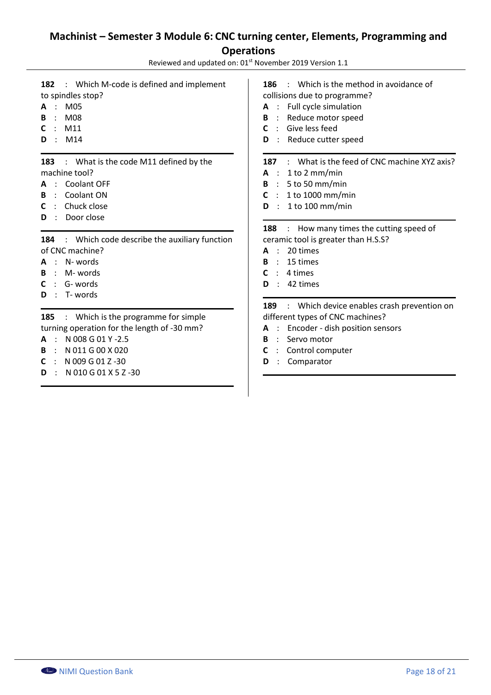Reviewed and updated on: 01<sup>st</sup> November 2019 Version 1.1

**182** : Which M-code is defined and implement to spindles stop?

- **A** : M05
- **B** : M08
- **C** : M11
- **D** : M14

**183** : What is the code M11 defined by the machine tool?

- **A** : Coolant OFF
- **B** : Coolant ON
- **C** : Chuck close
- **D** : Door close

184 : Which code describe the auxiliary function of CNC machine?

- **A** : N- words
- **B** : M- words
- **C** : G- words
- **D** : T- words

**185** : Which is the programme for simple turning operation for the length of -30 mm?

- **A** : N 008 G 01 Y -2.5
- **B** : N 011 G 00 X 020
- **C** : N 009 G 01 Z -30
- **D** : N 010 G 01 X 5 Z -30

**186** : Which is the method in avoidance of collisions due to programme? **A** : Full cycle simulation **B** : Reduce motor speed **C** : Give less feed **D** : Reduce cutter speed **187** : What is the feed of CNC machine XYZ axis? **A** : 1 to 2 mm/min **B** : 5 to 50 mm/min **C** : 1 to 1000 mm/min **D** : 1 to 100 mm/min 188 : How many times the cutting speed of ceramic tool is greater than H.S.S? **A** : 20 times **B** : 15 times **C** : 4 times **D** : 42 times **189** : Which device enables crash prevention on different types of CNC machines? **A** : Encoder - dish position sensors **B** : Servo motor **C** : Control computer

**D** : Comparator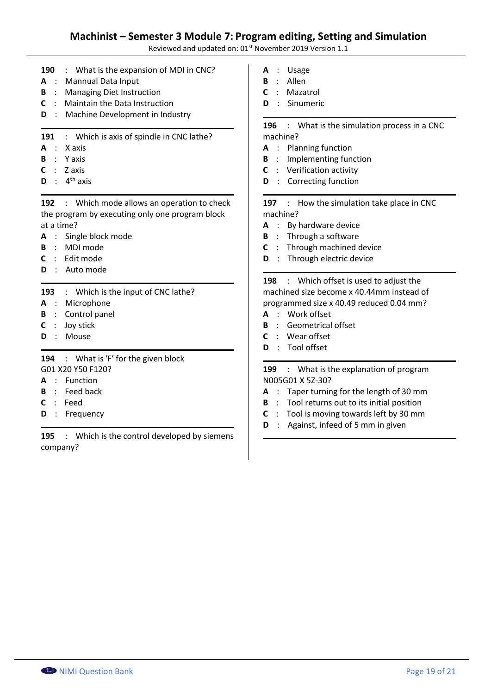### **Machinist – Semester 3 Module 7: Program editing, Setting and Simulation**

Reviewed and updated on: 01<sup>st</sup> November 2019 Version 1.1

- **190** : What is the expansion of MDI in CNC?
- **A** : Mannual Data Input
- **B** : Managing Diet Instruction
- **C** : Maintain the Data Instruction
- **D** : Machine Development in Industry
- **191** : Which is axis of spindle in CNC lathe?
- **A** : X axis
- **B** : Y axis
- $C \cdot 7$  axis
- $\mathbf{D}$  :  $4^{\text{th}}$  axis

**192** : Which mode allows an operation to check the program by executing only one program block at a time?

- **A** : Single block mode
- **B** : MDI mode
- **C** : Edit mode
- **D** : Auto mode

**193** : Which is the input of CNC lathe?

- **A** : Microphone
- **B** : Control panel
- **C** : Joy stick
- **D** : Mouse

194 : What is 'F' for the given block G01 X20 Y50 F120?

- **A** : Function
- **B** : Feed back
- **C** : Feed
- **D** : Frequency

**195** : Which is the control developed by siemens company?

- **A** : Usage
- **B** : Allen
- **C** : Mazatrol
- **D** : Sinumeric

**196** : What is the simulation process in a CNC machine?

- **A** : Planning function
- **B** : Implementing function
- **C** : Verification activity
- **D** : Correcting function

197 : How the simulation take place in CNC machine?

- **A** : By hardware device
- **B** : Through a software
- **C** : Through machined device
- **D** : Through electric device

**198** : Which offset is used to adjust the machined size become x 40.44mm instead of programmed size x 40.49 reduced 0.04 mm?

- **A** : Work offset
- **B** : Geometrical offset
- **C** : Wear offset
- **D** : Tool offset

**199** : What is the explanation of program N005G01 X 5Z-30?

- **A** : Taper turning for the length of 30 mm
- **B** : Tool returns out to its initial position
- **C** : Tool is moving towards left by 30 mm
- **D** : Against, infeed of 5 mm in given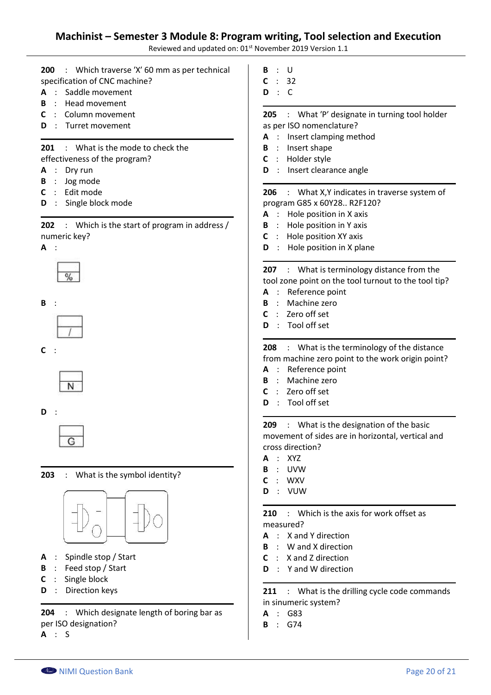### **Machinist – Semester 3 Module 8: Program writing, Tool selection and Execution**

Reviewed and updated on: 01<sup>st</sup> November 2019 Version 1.1

**200** : Which traverse ʹXʹ 60 mm as per technical specification of CNC machine?

- **A** : Saddle movement
- **B** : Head movement
- **C** : Column movement
- **D** : Turret movement

**201** : What is the mode to check the effectiveness of the program?

- **A** : Dry run
- **B** : Jog mode
- **C** : Edit mode
- **D** : Single block mode

**202** : Which is the start of program in address / numeric key?

#### **A** :







**C** :



#### **D** :



#### **203** : What is the symbol identity?



### **A** : Spindle stop / Start

- **B** : Feed stop / Start
- **C** : Single block
- **D** : Direction keys

**204** : Which designate length of boring bar as per ISO designation?

**A** : S

- **B** : U
- **C** : 32
- **D** : C

205 : What 'P' designate in turning tool holder as per ISO nomenclature?

- **A** : Insert clamping method
- **B** : Insert shape
- **C** : Holder style
- **D** : Insert clearance angle

### **206** : What X,Y indicates in traverse system of program G85 x 60Y28.. R2F120?

- **A** : Hole position in X axis
- **B** : Hole position in Y axis
- **C** : Hole position XY axis
- **D** : Hole position in X plane

**207** : What is terminology distance from the tool zone point on the tool turnout to the tool tip?

- **A** : Reference point
- **B** : Machine zero
- **C** : Zero off set
- **D** : Tool off set

#### **208** : What is the terminology of the distance from machine zero point to the work origin point?

- **A** : Reference point
- **B** : Machine zero
- **C** : Zero off set
- **D** : Tool off set

**209** : What is the designation of the basic movement of sides are in horizontal, vertical and cross direction?

- **A** : XYZ
- **B** : UVW
- **C** : WXV
- **D** : VUW

**210** : Which is the axis for work offset as measured?

- **A** : X and Y direction
- **B** : W and X direction
- **C** : X and Z direction
- **D** : Y and W direction

211 : What is the drilling cycle code commands in sinumeric system?

- **A** : G83
- **B** : G74